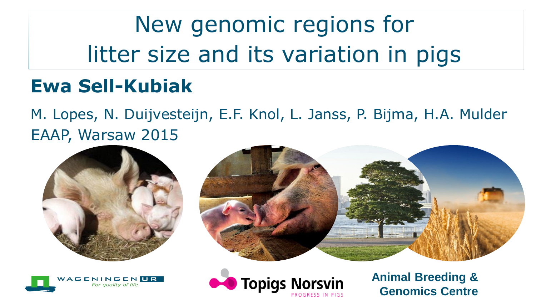New genomic regions for litter size and its variation in pigs

#### **Ewa Sell-Kubiak**

M. Lopes, N. Duijvesteijn, E.F. Knol, L. Janss, P. Bijma, H.A. Mulder EAAP, Warsaw 2015









**Animal Breeding & Genomics Centre**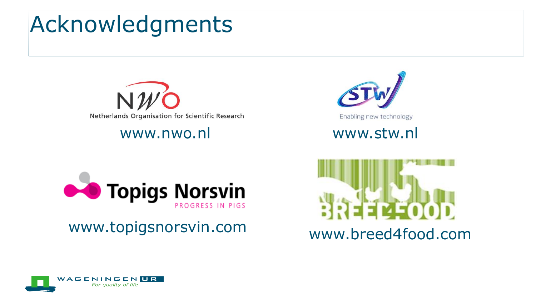## Acknowledgments









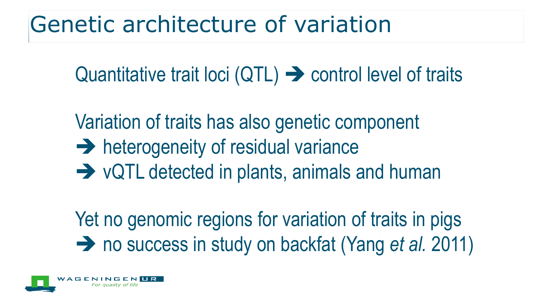## Genetic architecture of variation

Quantitative trait loci  $(QTL) \rightarrow$  control level of traits

Variation of traits has also genetic component  $\rightarrow$  heterogeneity of residual variance  $\rightarrow$  vQTL detected in plants, animals and human

Yet no genomic regions for variation of traits in pigs → no success in study on backfat (Yang *et al.* 2011)

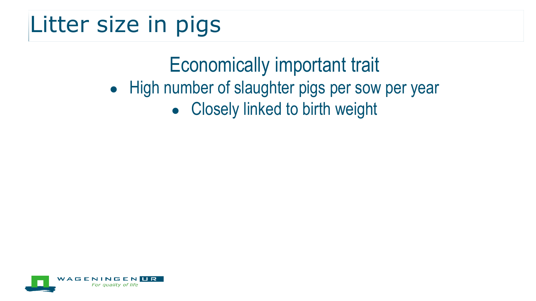## Litter size in pigs

#### Economically important trait

- High number of slaughter pigs per sow per year
	- Closely linked to birth weight

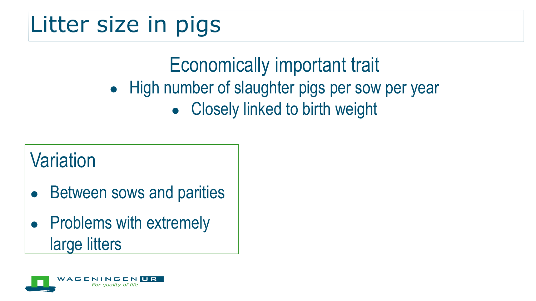## Litter size in pigs

#### Economically important trait

- High number of slaughter pigs per sow per year
	- Closely linked to birth weight

#### **Variation**

- **Between sows and parities**
- Problems with extremely large litters

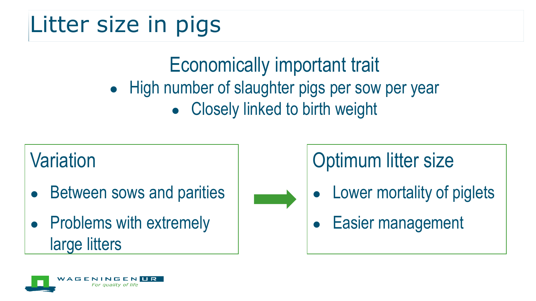# Litter size in pigs

#### Economically important trait

- High number of slaughter pigs per sow per year
	- Closely linked to birth weight

## **Variation**

- **Between sows and parities**
- Problems with extremely large litters



#### Optimum litter size

- Lower mortality of piglets
- Easier management

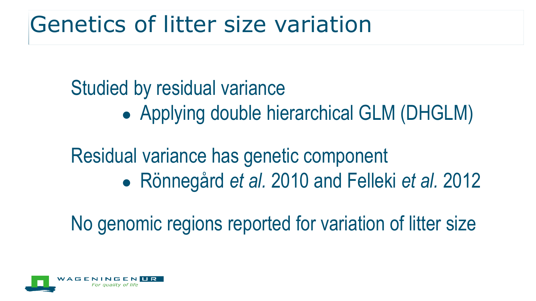## Genetics of litter size variation

#### Studied by residual variance

• Applying double hierarchical GLM (DHGLM)

#### Residual variance has genetic component ● Rönnegård *et al.* 2010 and Felleki *et al.* 2012

No genomic regions reported for variation of litter size

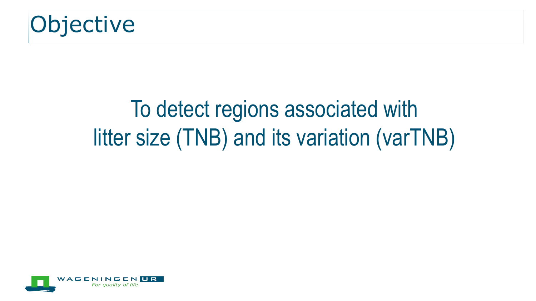

# To detect regions associated with litter size (TNB) and its variation (varTNB)

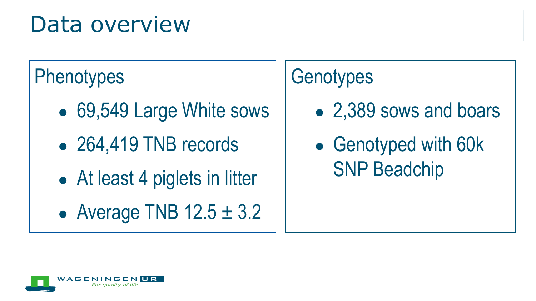#### Data overview

#### **Phenotypes**

- 69,549 Large White sows
- 264,419 TNB records
- At least 4 piglets in litter
- Average TNB  $12.5 \pm 3.2$

#### **Genotypes**

- 2,389 sows and boars
- Genotyped with 60k SNP Beadchip

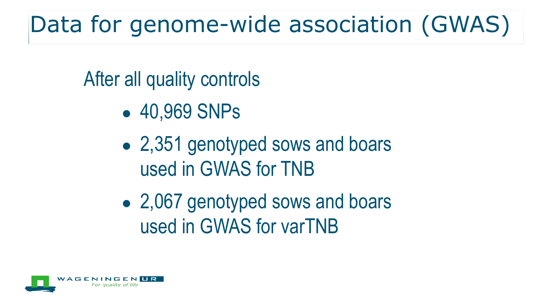# Data for genome-wide association (GWAS)

After all quality controls

- 40,969 SNPs
- 2,351 genotyped sows and boars used in GWAS for TNB
- 2,067 genotyped sows and boars used in GWAS for varTNB

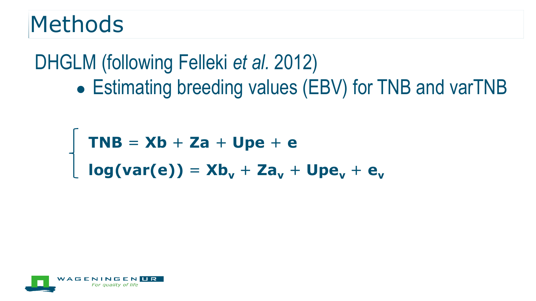#### Methods

#### DHGLM (following Felleki *et al.* 2012) • Estimating breeding values (EBV) for TNB and varTNB

```
TNB = Xb + Za + Upe + e
log(var(e)) = Xb_v + Za_v + Upe_v + e_v
```
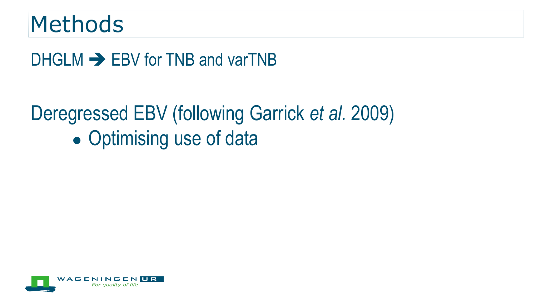#### Methods

 $DHGLM \rightarrow$  EBV for TNB and varTNB

## Deregressed EBV (following Garrick *et al.* 2009) • Optimising use of data

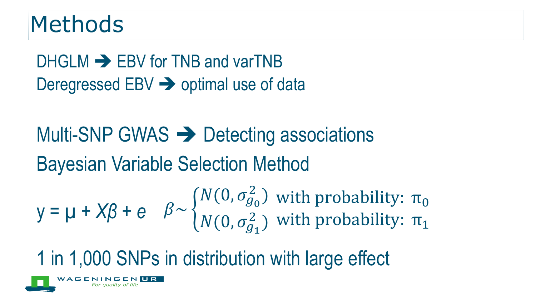#### Methods

 $DHGLM \rightarrow$  EBV for TNB and varTNB Deregressed  $EBV \rightarrow$  optimal use of data

Multi-SNP GWAS  $\rightarrow$  Detecting associations Bayesian Variable Selection Method

 $y = \mu + \chi \beta + e \quad \beta \sim \{$  $N(0, \sigma_{g_0}^2)$  $N(0, \sigma_{g_1}^2)$ with probability:  $\pi_0$ with probability:  $\pi_1$ 

1 in 1,000 SNPs in distribution with large effect

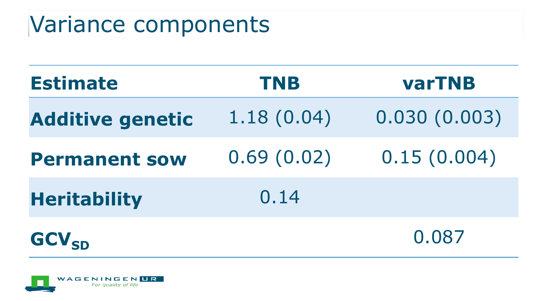## Variance components

| <b>Estimate</b>         | <b>TNB</b> | <b>varTNB</b> |
|-------------------------|------------|---------------|
| <b>Additive genetic</b> | 1.18(0.04) | 0.030(0.003)  |
| <b>Permanent sow</b>    | 0.69(0.02) | 0.15(0.004)   |
| <b>Heritability</b>     | 0.14       |               |
| <b>GCV<sub>SD</sub></b> |            | 0.087         |

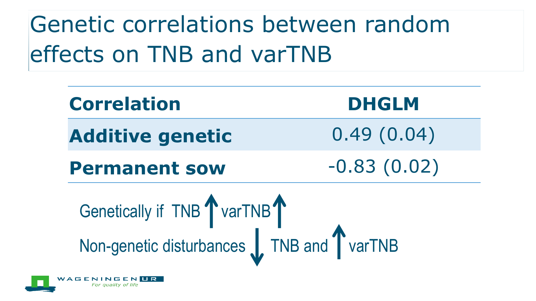Genetic correlations between random effects on TNB and varTNB

| <b>Correlation</b>                                                   | <b>DHGLM</b>  |  |
|----------------------------------------------------------------------|---------------|--|
| <b>Additive genetic</b>                                              | 0.49(0.04)    |  |
| <b>Permanent sow</b>                                                 | $-0.83(0.02)$ |  |
| Genetically if TNB warTNB<br>Non-genetic disturbances TNB and warTNB |               |  |

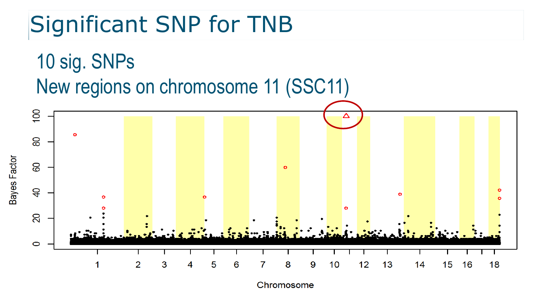## Significant SNP for TNB



Chromosome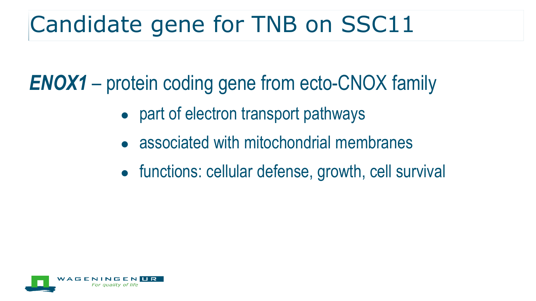## Candidate gene for TNB on SSC11

*ENOX1* – protein coding gene from ecto-CNOX family

- part of electron transport pathways
- associated with mitochondrial membranes
- functions: cellular defense, growth, cell survival

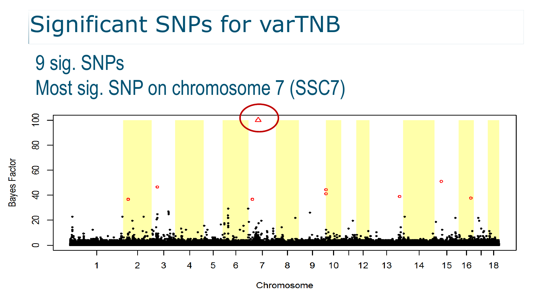## Significant SNPs for varTNB



Chromosome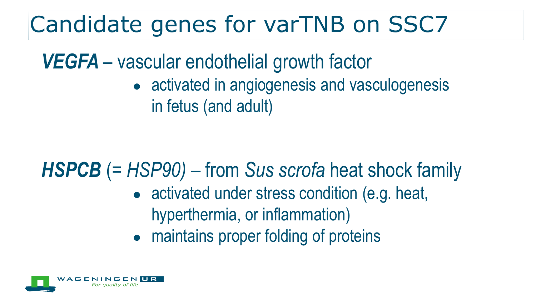## Candidate genes for varTNB on SSC7

*VEGFA* – vascular endothelial growth factor

• activated in angiogenesis and vasculogenesis in fetus (and adult)

#### *HSPCB* (= *HSP90)* – from *Sus scrofa* heat shock family

- activated under stress condition (e.g. heat, hyperthermia, or inflammation)
- maintains proper folding of proteins

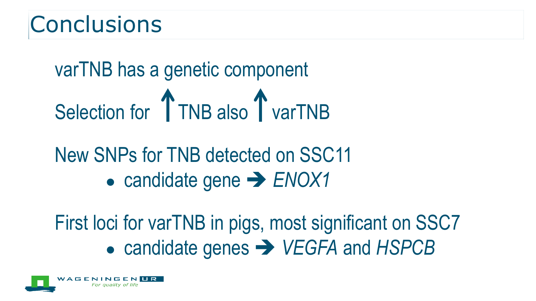#### **Conclusions**

# varTNB has a genetic component Selection for TNB also T varTNB

### New SNPs for TNB detected on SSC11 ● candidate gene **→ ENOX1**

First loci for varTNB in pigs, most significant on SSC7 ● candidate genes *VEGFA* and *HSPCB*